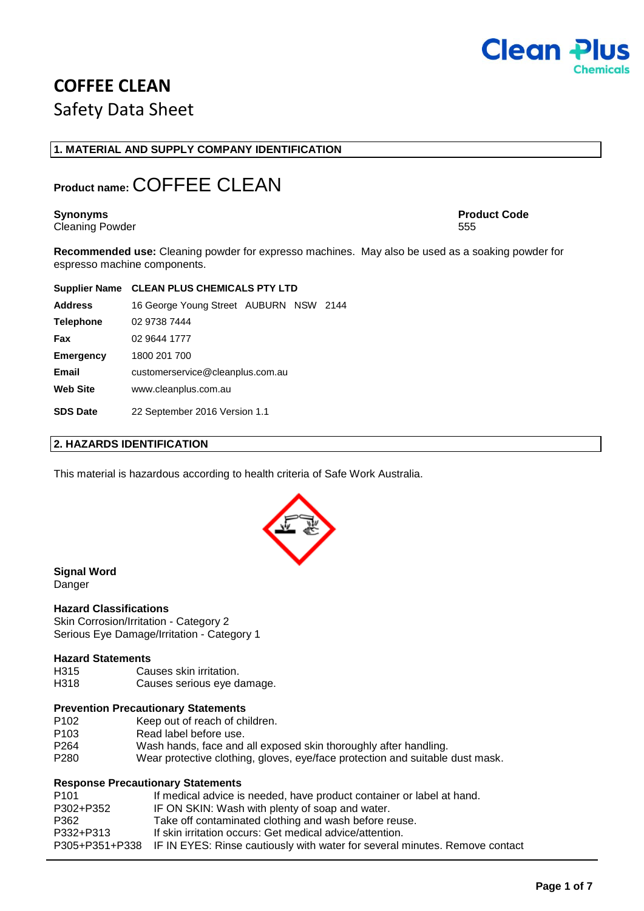

# **COFFEE CLEAN** Safety Data Sheet

### **1. MATERIAL AND SUPPLY COMPANY IDENTIFICATION**

# **Product name:** COFFEE CLEAN

Cleaning Powder 555

**Synonyms Product Code**

**Recommended use:** Cleaning powder for expresso machines. May also be used as a soaking powder for espresso machine components.

|                  | Supplier Name CLEAN PLUS CHEMICALS PTY LTD |  |  |  |
|------------------|--------------------------------------------|--|--|--|
| <b>Address</b>   | 16 George Young Street AUBURN NSW 2144     |  |  |  |
| <b>Telephone</b> | 02 9738 7444                               |  |  |  |
| Fax              | 02 9644 1777                               |  |  |  |
| <b>Emergency</b> | 1800 201 700                               |  |  |  |
| Email            | customerservice@cleanplus.com.au           |  |  |  |
| <b>Web Site</b>  | www.cleanplus.com.au                       |  |  |  |
| <b>SDS Date</b>  | 22 September 2016 Version 1.1              |  |  |  |

### **2. HAZARDS IDENTIFICATION**

This material is hazardous according to health criteria of Safe Work Australia.



### **Signal Word**

Danger

### **Hazard Classifications**

Skin Corrosion/Irritation - Category 2 Serious Eye Damage/Irritation - Category 1

### **Hazard Statements**

- H315 Causes skin irritation.
- H318 Causes serious eye damage.

### **Prevention Precautionary Statements**

- P102 Keep out of reach of children.<br>P103 Read label before use.
- P103 Read label before use.<br>P264 Wash hands, face and
- Wash hands, face and all exposed skin thoroughly after handling.
- P280 Wear protective clothing, gloves, eye/face protection and suitable dust mask.

### **Response Precautionary Statements**

| P <sub>101</sub> | If medical advice is needed, have product container or label at hand.                      |
|------------------|--------------------------------------------------------------------------------------------|
| P302+P352        | IF ON SKIN: Wash with plenty of soap and water.                                            |
| P362             | Take off contaminated clothing and wash before reuse.                                      |
| P332+P313        | If skin irritation occurs: Get medical advice/attention.                                   |
|                  | P305+P351+P338 IF IN EYES: Rinse cautiously with water for several minutes. Remove contact |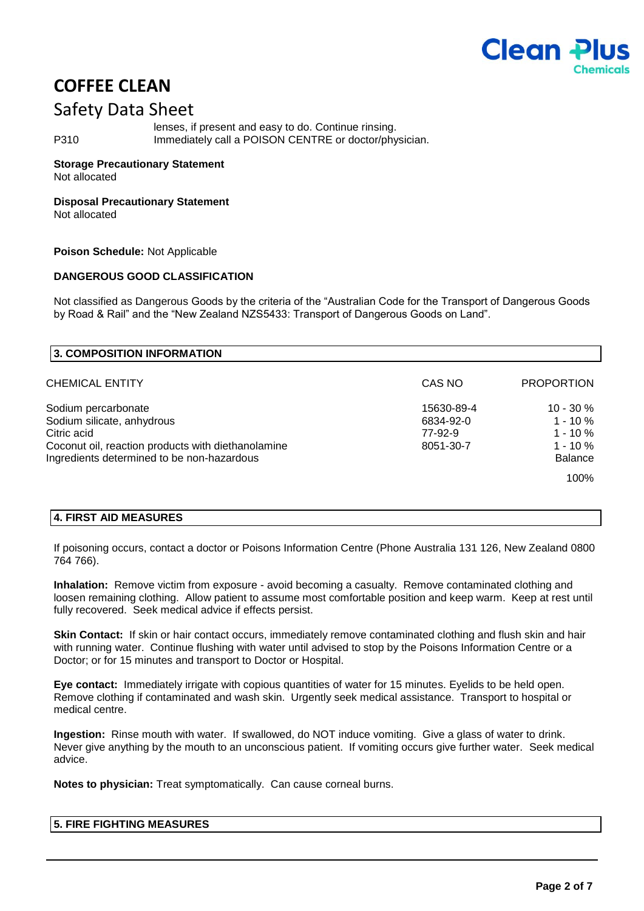

### Safety Data Sheet

lenses, if present and easy to do. Continue rinsing. P310 Immediately call a POISON CENTRE or doctor/physician.

### **Storage Precautionary Statement**

Not allocated

### **Disposal Precautionary Statement**

Not allocated

### **Poison Schedule:** Not Applicable

### **DANGEROUS GOOD CLASSIFICATION**

Not classified as Dangerous Goods by the criteria of the "Australian Code for the Transport of Dangerous Goods by Road & Rail" and the "New Zealand NZS5433: Transport of Dangerous Goods on Land".

| 3. COMPOSITION INFORMATION                                                                                                                                           |                                                 |                                                                             |
|----------------------------------------------------------------------------------------------------------------------------------------------------------------------|-------------------------------------------------|-----------------------------------------------------------------------------|
| CHEMICAL ENTITY                                                                                                                                                      | CAS NO                                          | <b>PROPORTION</b>                                                           |
| Sodium percarbonate<br>Sodium silicate, anhydrous<br>Citric acid<br>Coconut oil, reaction products with diethanolamine<br>Ingredients determined to be non-hazardous | 15630-89-4<br>6834-92-0<br>77-92-9<br>8051-30-7 | $10 - 30 \%$<br>$1 - 10 \%$<br>$1 - 10 \%$<br>$1 - 10 \%$<br><b>Balance</b> |
|                                                                                                                                                                      |                                                 | 100%                                                                        |

### **4. FIRST AID MEASURES**

If poisoning occurs, contact a doctor or Poisons Information Centre (Phone Australia 131 126, New Zealand 0800 764 766).

**Inhalation:** Remove victim from exposure - avoid becoming a casualty. Remove contaminated clothing and loosen remaining clothing. Allow patient to assume most comfortable position and keep warm. Keep at rest until fully recovered. Seek medical advice if effects persist.

**Skin Contact:** If skin or hair contact occurs, immediately remove contaminated clothing and flush skin and hair with running water. Continue flushing with water until advised to stop by the Poisons Information Centre or a Doctor; or for 15 minutes and transport to Doctor or Hospital.

**Eye contact:** Immediately irrigate with copious quantities of water for 15 minutes. Eyelids to be held open. Remove clothing if contaminated and wash skin. Urgently seek medical assistance. Transport to hospital or medical centre.

**Ingestion:** Rinse mouth with water. If swallowed, do NOT induce vomiting. Give a glass of water to drink. Never give anything by the mouth to an unconscious patient. If vomiting occurs give further water. Seek medical advice.

**Notes to physician:** Treat symptomatically. Can cause corneal burns.

### **5. FIRE FIGHTING MEASURES**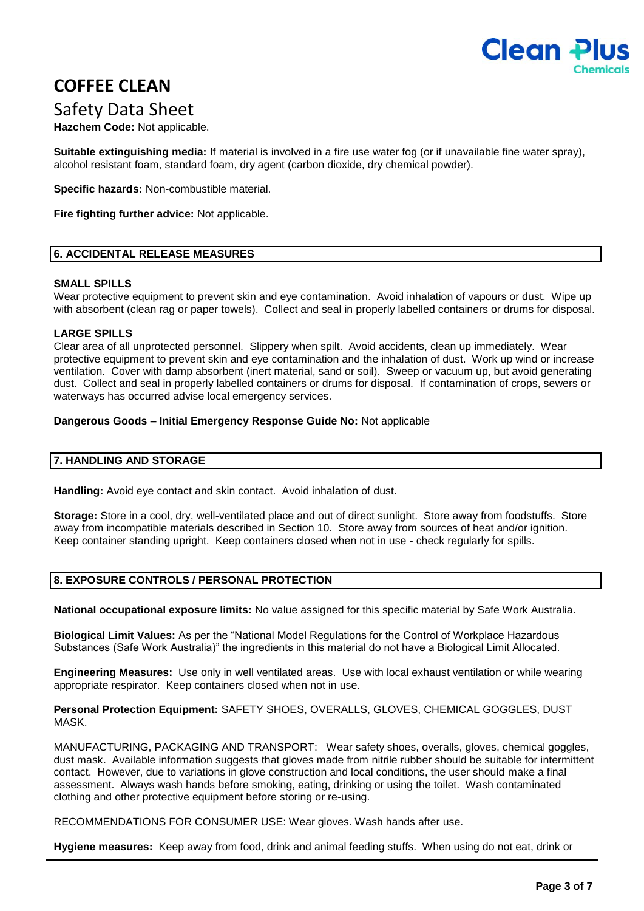

### Safety Data Sheet

**Hazchem Code:** Not applicable.

**Suitable extinguishing media:** If material is involved in a fire use water fog (or if unavailable fine water spray), alcohol resistant foam, standard foam, dry agent (carbon dioxide, dry chemical powder).

**Specific hazards:** Non-combustible material.

**Fire fighting further advice:** Not applicable.

### **6. ACCIDENTAL RELEASE MEASURES**

### **SMALL SPILLS**

Wear protective equipment to prevent skin and eye contamination. Avoid inhalation of vapours or dust. Wipe up with absorbent (clean rag or paper towels). Collect and seal in properly labelled containers or drums for disposal.

### **LARGE SPILLS**

Clear area of all unprotected personnel. Slippery when spilt. Avoid accidents, clean up immediately. Wear protective equipment to prevent skin and eye contamination and the inhalation of dust. Work up wind or increase ventilation. Cover with damp absorbent (inert material, sand or soil). Sweep or vacuum up, but avoid generating dust. Collect and seal in properly labelled containers or drums for disposal. If contamination of crops, sewers or waterways has occurred advise local emergency services.

### **Dangerous Goods – Initial Emergency Response Guide No:** Not applicable

### **7. HANDLING AND STORAGE**

**Handling:** Avoid eye contact and skin contact. Avoid inhalation of dust.

**Storage:** Store in a cool, dry, well-ventilated place and out of direct sunlight. Store away from foodstuffs. Store away from incompatible materials described in Section 10. Store away from sources of heat and/or ignition. Keep container standing upright. Keep containers closed when not in use - check regularly for spills.

### **8. EXPOSURE CONTROLS / PERSONAL PROTECTION**

**National occupational exposure limits:** No value assigned for this specific material by Safe Work Australia.

**Biological Limit Values:** As per the "National Model Regulations for the Control of Workplace Hazardous Substances (Safe Work Australia)" the ingredients in this material do not have a Biological Limit Allocated.

**Engineering Measures:** Use only in well ventilated areas. Use with local exhaust ventilation or while wearing appropriate respirator. Keep containers closed when not in use.

**Personal Protection Equipment:** SAFETY SHOES, OVERALLS, GLOVES, CHEMICAL GOGGLES, DUST MASK.

MANUFACTURING, PACKAGING AND TRANSPORT: Wear safety shoes, overalls, gloves, chemical goggles, dust mask. Available information suggests that gloves made from nitrile rubber should be suitable for intermittent contact. However, due to variations in glove construction and local conditions, the user should make a final assessment. Always wash hands before smoking, eating, drinking or using the toilet. Wash contaminated clothing and other protective equipment before storing or re-using.

RECOMMENDATIONS FOR CONSUMER USE: Wear gloves. Wash hands after use.

**Hygiene measures:** Keep away from food, drink and animal feeding stuffs. When using do not eat, drink or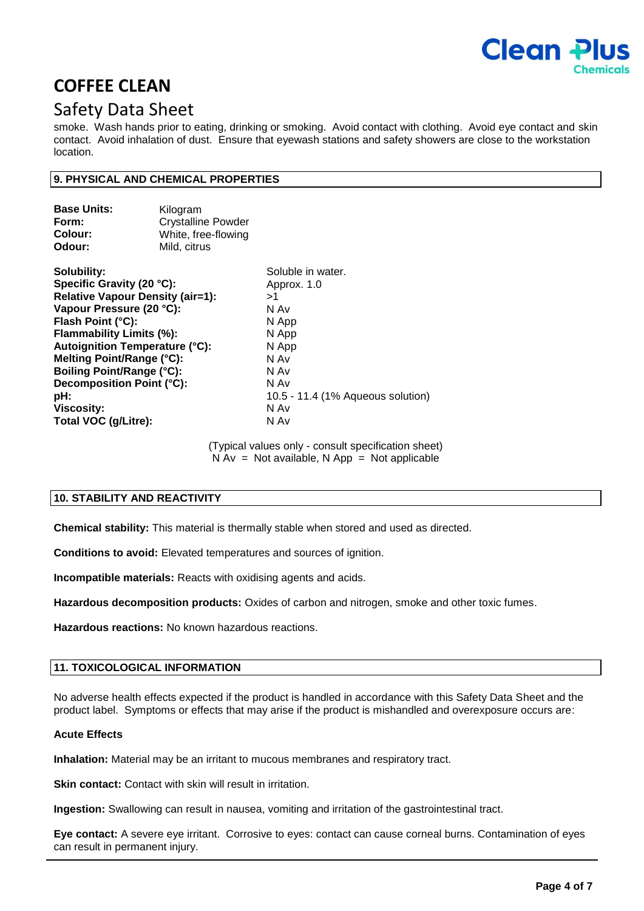

### Safety Data Sheet

smoke. Wash hands prior to eating, drinking or smoking. Avoid contact with clothing. Avoid eye contact and skin contact. Avoid inhalation of dust. Ensure that eyewash stations and safety showers are close to the workstation location.

### **9. PHYSICAL AND CHEMICAL PROPERTIES**

| <b>Base Units:</b><br>Form:<br>Colour:<br>Odour: | Kilogram<br><b>Crystalline Powder</b><br>White, free-flowing<br>Mild, citrus |                                   |  |
|--------------------------------------------------|------------------------------------------------------------------------------|-----------------------------------|--|
| Solubility:                                      |                                                                              | Soluble in water.                 |  |
| Specific Gravity (20 °C):                        |                                                                              | Approx. 1.0                       |  |
| <b>Relative Vapour Density (air=1):</b>          |                                                                              | >1                                |  |
| Vapour Pressure (20 °C):                         |                                                                              | N Av                              |  |
| Flash Point (°C):                                |                                                                              | N App                             |  |
| Flammability Limits (%):                         |                                                                              | N App                             |  |
| <b>Autoignition Temperature (°C):</b>            |                                                                              | N App                             |  |
| Melting Point/Range (°C):                        |                                                                              | N Av                              |  |
| <b>Boiling Point/Range (°C):</b>                 |                                                                              | N Av                              |  |
| Decomposition Point (°C):                        |                                                                              | N Av                              |  |
| pH:                                              |                                                                              | 10.5 - 11.4 (1% Aqueous solution) |  |
| <b>Viscosity:</b>                                |                                                                              | N Av                              |  |
| Total VOC (g/Litre):                             |                                                                              | N Av                              |  |

(Typical values only - consult specification sheet)  $N Av = Not available, N App = Not applicable$ 

### **10. STABILITY AND REACTIVITY**

**Chemical stability:** This material is thermally stable when stored and used as directed.

**Conditions to avoid:** Elevated temperatures and sources of ignition.

**Incompatible materials:** Reacts with oxidising agents and acids.

**Hazardous decomposition products:** Oxides of carbon and nitrogen, smoke and other toxic fumes.

**Hazardous reactions:** No known hazardous reactions.

### **11. TOXICOLOGICAL INFORMATION**

No adverse health effects expected if the product is handled in accordance with this Safety Data Sheet and the product label. Symptoms or effects that may arise if the product is mishandled and overexposure occurs are:

### **Acute Effects**

**Inhalation:** Material may be an irritant to mucous membranes and respiratory tract.

**Skin contact:** Contact with skin will result in irritation.

**Ingestion:** Swallowing can result in nausea, vomiting and irritation of the gastrointestinal tract.

**Eye contact:** A severe eye irritant. Corrosive to eyes: contact can cause corneal burns. Contamination of eyes can result in permanent injury.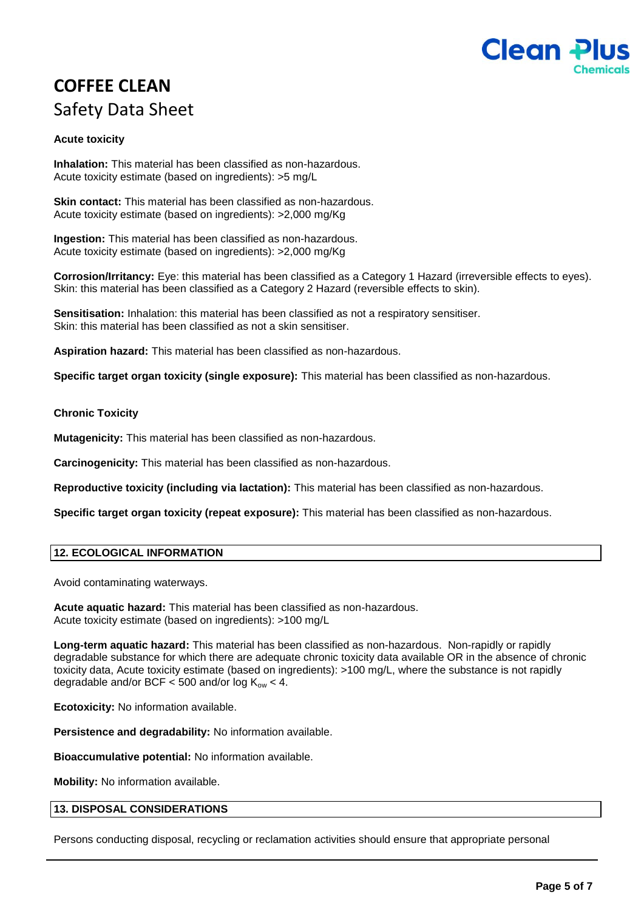

# **COFFEE CLEAN** Safety Data Sheet

### **Acute toxicity**

**Inhalation:** This material has been classified as non-hazardous. Acute toxicity estimate (based on ingredients): >5 mg/L

**Skin contact:** This material has been classified as non-hazardous. Acute toxicity estimate (based on ingredients): >2,000 mg/Kg

**Ingestion:** This material has been classified as non-hazardous. Acute toxicity estimate (based on ingredients): >2,000 mg/Kg

**Corrosion/Irritancy:** Eye: this material has been classified as a Category 1 Hazard (irreversible effects to eyes). Skin: this material has been classified as a Category 2 Hazard (reversible effects to skin).

**Sensitisation:** Inhalation: this material has been classified as not a respiratory sensitiser. Skin: this material has been classified as not a skin sensitiser.

**Aspiration hazard:** This material has been classified as non-hazardous.

**Specific target organ toxicity (single exposure):** This material has been classified as non-hazardous.

### **Chronic Toxicity**

**Mutagenicity:** This material has been classified as non-hazardous.

**Carcinogenicity:** This material has been classified as non-hazardous.

**Reproductive toxicity (including via lactation):** This material has been classified as non-hazardous.

**Specific target organ toxicity (repeat exposure):** This material has been classified as non-hazardous.

### **12. ECOLOGICAL INFORMATION**

Avoid contaminating waterways.

**Acute aquatic hazard:** This material has been classified as non-hazardous. Acute toxicity estimate (based on ingredients): >100 mg/L

**Long-term aquatic hazard:** This material has been classified as non-hazardous. Non-rapidly or rapidly degradable substance for which there are adequate chronic toxicity data available OR in the absence of chronic toxicity data, Acute toxicity estimate (based on ingredients): >100 mg/L, where the substance is not rapidly degradable and/or BCF < 500 and/or log  $K_{ow}$  < 4.

**Ecotoxicity:** No information available.

**Persistence and degradability:** No information available.

**Bioaccumulative potential:** No information available.

**Mobility:** No information available.

### **13. DISPOSAL CONSIDERATIONS**

Persons conducting disposal, recycling or reclamation activities should ensure that appropriate personal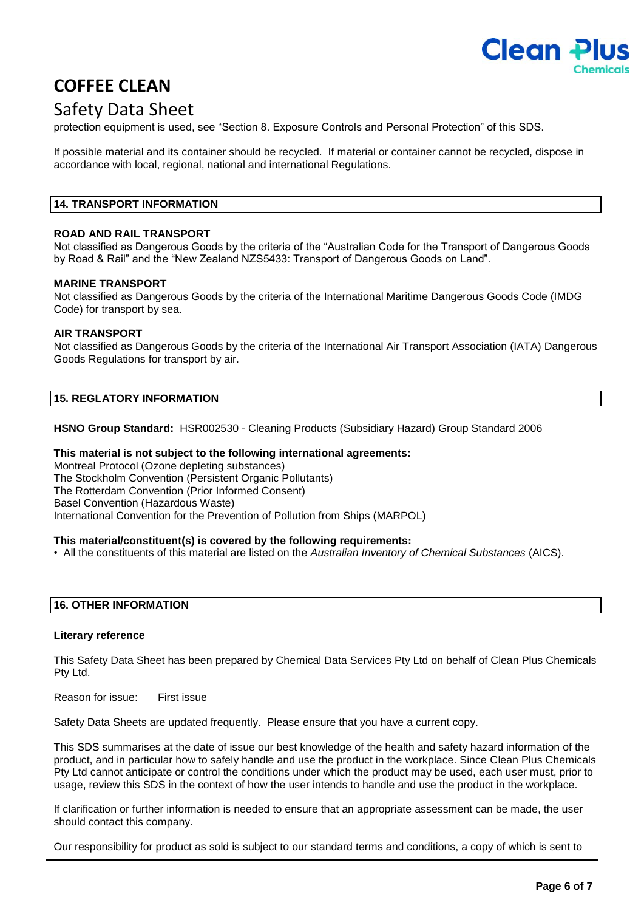

### Safety Data Sheet

protection equipment is used, see "Section 8. Exposure Controls and Personal Protection" of this SDS.

If possible material and its container should be recycled. If material or container cannot be recycled, dispose in accordance with local, regional, national and international Regulations.

### **14. TRANSPORT INFORMATION**

### **ROAD AND RAIL TRANSPORT**

Not classified as Dangerous Goods by the criteria of the "Australian Code for the Transport of Dangerous Goods by Road & Rail" and the "New Zealand NZS5433: Transport of Dangerous Goods on Land".

### **MARINE TRANSPORT**

Not classified as Dangerous Goods by the criteria of the International Maritime Dangerous Goods Code (IMDG Code) for transport by sea.

### **AIR TRANSPORT**

Not classified as Dangerous Goods by the criteria of the International Air Transport Association (IATA) Dangerous Goods Regulations for transport by air.

### **15. REGLATORY INFORMATION**

**HSNO Group Standard:** HSR002530 - Cleaning Products (Subsidiary Hazard) Group Standard 2006

### **This material is not subject to the following international agreements:**

Montreal Protocol (Ozone depleting substances) The Stockholm Convention (Persistent Organic Pollutants) The Rotterdam Convention (Prior Informed Consent) Basel Convention (Hazardous Waste) International Convention for the Prevention of Pollution from Ships (MARPOL)

### **This material/constituent(s) is covered by the following requirements:**

• All the constituents of this material are listed on the *Australian Inventory of Chemical Substances* (AICS).

### **16. OTHER INFORMATION**

### **Literary reference**

This Safety Data Sheet has been prepared by Chemical Data Services Pty Ltd on behalf of Clean Plus Chemicals Pty Ltd.

Reason for issue: First issue

Safety Data Sheets are updated frequently. Please ensure that you have a current copy.

This SDS summarises at the date of issue our best knowledge of the health and safety hazard information of the product, and in particular how to safely handle and use the product in the workplace. Since Clean Plus Chemicals Pty Ltd cannot anticipate or control the conditions under which the product may be used, each user must, prior to usage, review this SDS in the context of how the user intends to handle and use the product in the workplace.

If clarification or further information is needed to ensure that an appropriate assessment can be made, the user should contact this company.

Our responsibility for product as sold is subject to our standard terms and conditions, a copy of which is sent to